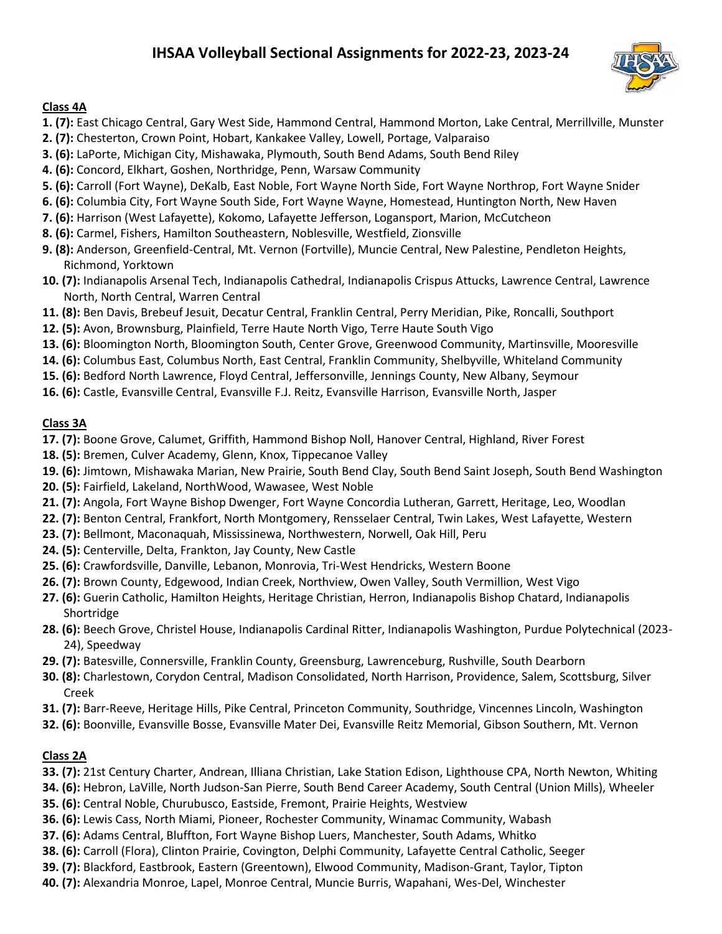# **IHSAA Volleyball Sectional Assignments for 2022-23, 2023-24**



#### **Class 4A**

- **1. (7):** East Chicago Central, Gary West Side, Hammond Central, Hammond Morton, Lake Central, Merrillville, Munster
- **2. (7):** Chesterton, Crown Point, Hobart, Kankakee Valley, Lowell, Portage, Valparaiso
- **3. (6):** LaPorte, Michigan City, Mishawaka, Plymouth, South Bend Adams, South Bend Riley
- **4. (6):** Concord, Elkhart, Goshen, Northridge, Penn, Warsaw Community
- **5. (6):** Carroll (Fort Wayne), DeKalb, East Noble, Fort Wayne North Side, Fort Wayne Northrop, Fort Wayne Snider
- **6. (6):** Columbia City, Fort Wayne South Side, Fort Wayne Wayne, Homestead, Huntington North, New Haven
- **7. (6):** Harrison (West Lafayette), Kokomo, Lafayette Jefferson, Logansport, Marion, McCutcheon
- **8. (6):** Carmel, Fishers, Hamilton Southeastern, Noblesville, Westfield, Zionsville
- **9. (8):** Anderson, Greenfield-Central, Mt. Vernon (Fortville), Muncie Central, New Palestine, Pendleton Heights, Richmond, Yorktown
- **10. (7):** Indianapolis Arsenal Tech, Indianapolis Cathedral, Indianapolis Crispus Attucks, Lawrence Central, Lawrence North, North Central, Warren Central
- **11. (8):** Ben Davis, Brebeuf Jesuit, Decatur Central, Franklin Central, Perry Meridian, Pike, Roncalli, Southport
- **12. (5):** Avon, Brownsburg, Plainfield, Terre Haute North Vigo, Terre Haute South Vigo
- **13. (6):** Bloomington North, Bloomington South, Center Grove, Greenwood Community, Martinsville, Mooresville
- **14. (6):** Columbus East, Columbus North, East Central, Franklin Community, Shelbyville, Whiteland Community
- **15. (6):** Bedford North Lawrence, Floyd Central, Jeffersonville, Jennings County, New Albany, Seymour
- **16. (6):** Castle, Evansville Central, Evansville F.J. Reitz, Evansville Harrison, Evansville North, Jasper

#### **Class 3A**

- **17. (7):** Boone Grove, Calumet, Griffith, Hammond Bishop Noll, Hanover Central, Highland, River Forest
- **18. (5):** Bremen, Culver Academy, Glenn, Knox, Tippecanoe Valley
- **19. (6):** Jimtown, Mishawaka Marian, New Prairie, South Bend Clay, South Bend Saint Joseph, South Bend Washington
- **20. (5):** Fairfield, Lakeland, NorthWood, Wawasee, West Noble
- **21. (7):** Angola, Fort Wayne Bishop Dwenger, Fort Wayne Concordia Lutheran, Garrett, Heritage, Leo, Woodlan
- **22. (7):** Benton Central, Frankfort, North Montgomery, Rensselaer Central, Twin Lakes, West Lafayette, Western
- **23. (7):** Bellmont, Maconaquah, Mississinewa, Northwestern, Norwell, Oak Hill, Peru
- **24. (5):** Centerville, Delta, Frankton, Jay County, New Castle
- **25. (6):** Crawfordsville, Danville, Lebanon, Monrovia, Tri-West Hendricks, Western Boone
- **26. (7):** Brown County, Edgewood, Indian Creek, Northview, Owen Valley, South Vermillion, West Vigo
- **27. (6):** Guerin Catholic, Hamilton Heights, Heritage Christian, Herron, Indianapolis Bishop Chatard, Indianapolis Shortridge
- **28. (6):** Beech Grove, Christel House, Indianapolis Cardinal Ritter, Indianapolis Washington, Purdue Polytechnical (2023- 24), Speedway
- **29. (7):** Batesville, Connersville, Franklin County, Greensburg, Lawrenceburg, Rushville, South Dearborn
- **30. (8):** Charlestown, Corydon Central, Madison Consolidated, North Harrison, Providence, Salem, Scottsburg, Silver Creek
- **31. (7):** Barr-Reeve, Heritage Hills, Pike Central, Princeton Community, Southridge, Vincennes Lincoln, Washington
- **32. (6):** Boonville, Evansville Bosse, Evansville Mater Dei, Evansville Reitz Memorial, Gibson Southern, Mt. Vernon

## **Class 2A**

- **33. (7):** 21st Century Charter, Andrean, Illiana Christian, Lake Station Edison, Lighthouse CPA, North Newton, Whiting
- **34. (6):** Hebron, LaVille, North Judson-San Pierre, South Bend Career Academy, South Central (Union Mills), Wheeler
- **35. (6):** Central Noble, Churubusco, Eastside, Fremont, Prairie Heights, Westview
- **36. (6):** Lewis Cass, North Miami, Pioneer, Rochester Community, Winamac Community, Wabash
- **37. (6):** Adams Central, Bluffton, Fort Wayne Bishop Luers, Manchester, South Adams, Whitko
- **38. (6):** Carroll (Flora), Clinton Prairie, Covington, Delphi Community, Lafayette Central Catholic, Seeger
- **39. (7):** Blackford, Eastbrook, Eastern (Greentown), Elwood Community, Madison-Grant, Taylor, Tipton
- **40. (7):** Alexandria Monroe, Lapel, Monroe Central, Muncie Burris, Wapahani, Wes-Del, Winchester